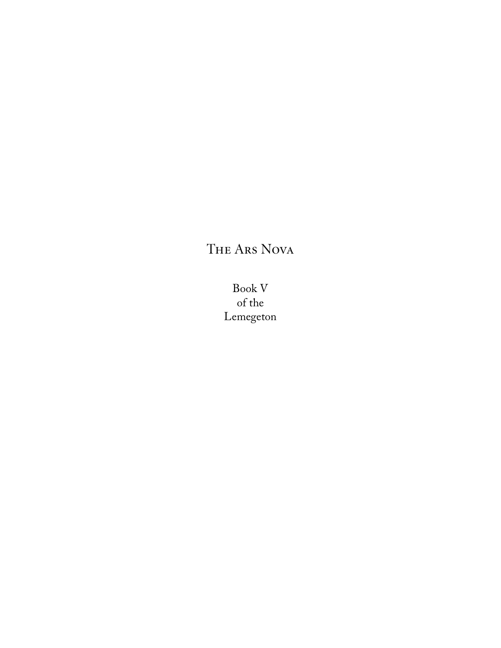# The Ars Nova

Book V of the Lemegeton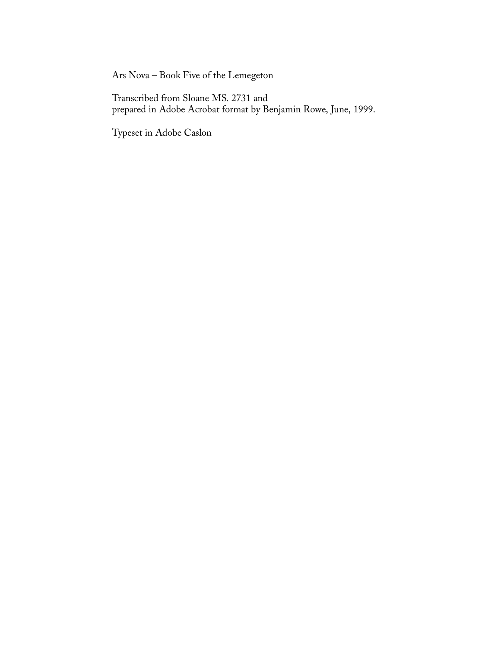Ars Nova – Book Five of the Lemegeton

Transcribed from Sloane MS. 2731 and prepared in Adobe Acrobat format by Benjamin Rowe, June, 1999.

Typeset in Adobe Caslon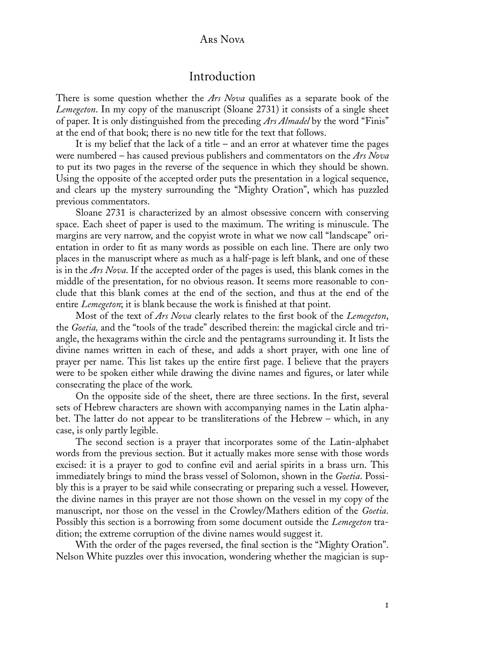#### Ars Nova

### Introduction

There is some question whether the *Ars Nova* qualifies as a separate book of the *Lemegeton*. In my copy of the manuscript (Sloane 2731) it consists of a single sheet of paper. It is only distinguished from the preceding *Ars Almadel* by the word "Finis" at the end of that book; there is no new title for the text that follows.

It is my belief that the lack of a title  $-$  and an error at whatever time the pages were numbered – has caused previous publishers and commentators on the *Ars Nova* to put its two pages in the reverse of the sequence in which they should be shown. Using the opposite of the accepted order puts the presentation in a logical sequence, and clears up the mystery surrounding the "Mighty Oration", which has puzzled previous commentators.

Sloane 2731 is characterized by an almost obsessive concern with conserving space. Each sheet of paper is used to the maximum. The writing is minuscule. The margins are very narrow, and the copyist wrote in what we now call "landscape" orientation in order to fit as many words as possible on each line. There are only two places in the manuscript where as much as a half-page is left blank, and one of these is in the *Ars Nova*. If the accepted order of the pages is used, this blank comes in the middle of the presentation, for no obvious reason. It seems more reasonable to conclude that this blank comes at the end of the section, and thus at the end of the entire *Lemegeton*; it is blank because the work is finished at that point.

Most of the text of *Ars Nova* clearly relates to the first book of the *Lemegeton*, the *Goetia,* and the "tools of the trade" described therein: the magickal circle and triangle, the hexagrams within the circle and the pentagrams surrounding it. It lists the divine names written in each of these, and adds a short prayer, with one line of prayer per name. This list takes up the entire first page. I believe that the prayers were to be spoken either while drawing the divine names and figures, or later while consecrating the place of the work.

On the opposite side of the sheet, there are three sections. In the first, several sets of Hebrew characters are shown with accompanying names in the Latin alphabet. The latter do not appear to be transliterations of the Hebrew – which, in any case, is only partly legible.

The second section is a prayer that incorporates some of the Latin-alphabet words from the previous section. But it actually makes more sense with those words excised: it is a prayer to god to confine evil and aerial spirits in a brass urn. This immediately brings to mind the brass vessel of Solomon, shown in the *Goetia*. Possibly this is a prayer to be said while consecrating or preparing such a vessel. However, the divine names in this prayer are not those shown on the vessel in my copy of the manuscript, nor those on the vessel in the Crowley/Mathers edition of the *Goetia*. Possibly this section is a borrowing from some document outside the *Lemegeton* tradition; the extreme corruption of the divine names would suggest it.

With the order of the pages reversed, the final section is the "Mighty Oration". Nelson White puzzles over this invocation, wondering whether the magician is sup-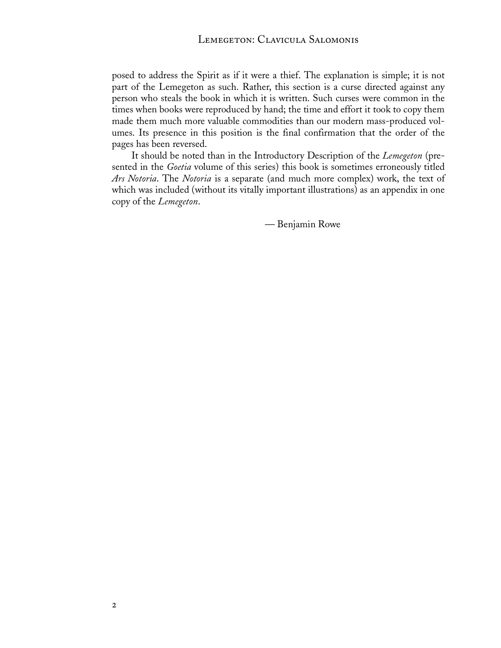posed to address the Spirit as if it were a thief. The explanation is simple; it is not part of the Lemegeton as such. Rather, this section is a curse directed against any person who steals the book in which it is written. Such curses were common in the times when books were reproduced by hand; the time and effort it took to copy them made them much more valuable commodities than our modern mass-produced volumes. Its presence in this position is the final confirmation that the order of the pages has been reversed.

It should be noted than in the Introductory Description of the *Lemegeton* (presented in the *Goetia* volume of this series) this book is sometimes erroneously titled *Ars Notoria*. The *Notoria* is a separate (and much more complex) work, the text of which was included (without its vitally important illustrations) as an appendix in one copy of the *Lemegeton*.

— Benjamin Rowe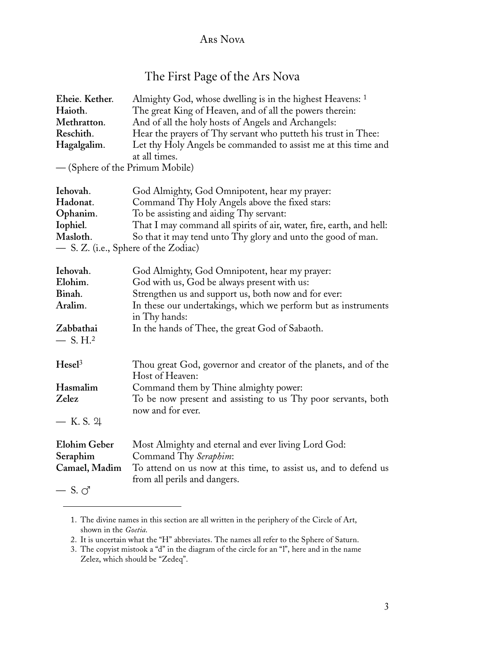### Ars Nova

## The First Page of the Ars Nova

| Eheie. Kether.                       | Almighty God, whose dwelling is in the highest Heavens: 1                                        |  |
|--------------------------------------|--------------------------------------------------------------------------------------------------|--|
| Haioth.                              | The great King of Heaven, and of all the powers therein:                                         |  |
| Methratton.                          | And of all the holy hosts of Angels and Archangels:                                              |  |
| Reschith.                            | Hear the prayers of Thy servant who putteth his trust in Thee:                                   |  |
| Hagalgalim.                          | Let thy Holy Angels be commanded to assist me at this time and                                   |  |
|                                      | at all times.                                                                                    |  |
| - (Sphere of the Primum Mobile)      |                                                                                                  |  |
| Iehovah.                             | God Almighty, God Omnipotent, hear my prayer:                                                    |  |
| Hadonat.                             | Command Thy Holy Angels above the fixed stars:                                                   |  |
| Ophanim.                             | To be assisting and aiding Thy servant:                                                          |  |
| Iophiel.                             | That I may command all spirits of air, water, fire, earth, and hell:                             |  |
| Masloth.                             | So that it may tend unto Thy glory and unto the good of man.                                     |  |
| - S. Z. (i.e., Sphere of the Zodiac) |                                                                                                  |  |
| Iehovah.                             | God Almighty, God Omnipotent, hear my prayer:                                                    |  |
| Elohim.                              | God with us, God be always present with us:                                                      |  |
| Binah.                               | Strengthen us and support us, both now and for ever:                                             |  |
| Aralim.                              | In these our undertakings, which we perform but as instruments<br>in Thy hands:                  |  |
| Zabbathai                            | In the hands of Thee, the great God of Sabaoth.                                                  |  |
| $-$ S. H. <sup>2</sup>               |                                                                                                  |  |
| Hesel <sup>3</sup>                   | Thou great God, governor and creator of the planets, and of the<br>Host of Heaven:               |  |
| Hasmalim                             | Command them by Thine almighty power:                                                            |  |
| Zelez                                | To be now present and assisting to us Thy poor servants, both                                    |  |
|                                      | now and for ever.                                                                                |  |
| — K.S. 24                            |                                                                                                  |  |
| <b>Elohim Geber</b>                  | Most Almighty and eternal and ever living Lord God:                                              |  |
| Seraphim                             | Command Thy Seraphim:                                                                            |  |
| Camael, Madim                        | To attend on us now at this time, to assist us, and to defend us<br>from all perils and dangers. |  |
| $-$ S. $\circlearrowleft$            |                                                                                                  |  |

<sup>1.</sup> The divine names in this section are all written in the periphery of the Circle of Art, shown in the *Goetia*.

<sup>2.</sup> It is uncertain what the "H" abbreviates. The names all refer to the Sphere of Saturn.

<sup>3.</sup> The copyist mistook a "d" in the diagram of the circle for an "l", here and in the name Zelez, which should be "Zedeq".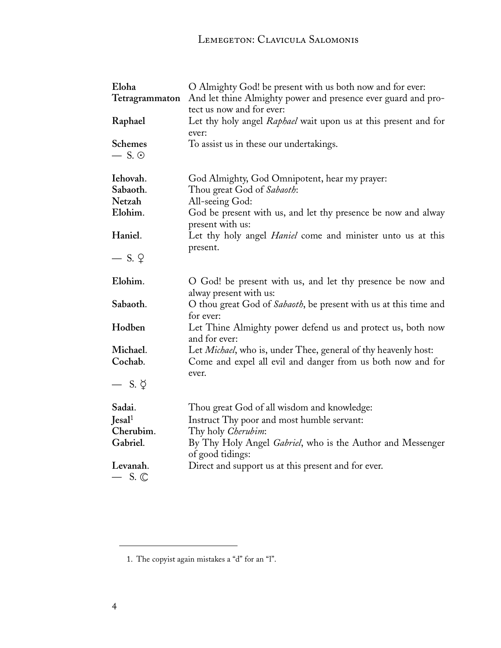| Eloha<br>Tetragrammaton          | O Almighty God! be present with us both now and for ever:<br>And let thine Almighty power and presence ever guard and pro- |
|----------------------------------|----------------------------------------------------------------------------------------------------------------------------|
| Raphael                          | tect us now and for ever:<br>Let thy holy angel Raphael wait upon us at this present and for<br>ever:                      |
| <b>Schemes</b><br>$-$ S. $\odot$ | To assist us in these our undertakings.                                                                                    |
| Iehovah.                         | God Almighty, God Omnipotent, hear my prayer:                                                                              |
| Sabaoth.                         | Thou great God of Sabaoth:                                                                                                 |
| Netzah                           | All-seeing God:                                                                                                            |
| Elohim.                          | God be present with us, and let thy presence be now and alway<br>present with us:                                          |
| Haniel.                          | Let thy holy angel <i>Haniel</i> come and minister unto us at this<br>present.                                             |
| $-$ S. $\circ$                   |                                                                                                                            |
| Elohim.                          | O God! be present with us, and let thy presence be now and<br>alway present with us:                                       |
| Sabaoth.                         | O thou great God of Sabaoth, be present with us at this time and<br>for ever:                                              |
| Hodben                           | Let Thine Almighty power defend us and protect us, both now<br>and for ever:                                               |
| Michael.                         | Let Michael, who is, under Thee, general of thy heavenly host:                                                             |
| Cochab.                          | Come and expel all evil and danger from us both now and for<br>ever.                                                       |
| — S. Ў                           |                                                                                                                            |
| Sadai.                           | Thou great God of all wisdom and knowledge:                                                                                |
| Jesal <sup>1</sup>               | Instruct Thy poor and most humble servant:                                                                                 |
| Cherubim.                        | Thy holy Cherubim:                                                                                                         |
| Gabriel.                         | By Thy Holy Angel Gabriel, who is the Author and Messenger<br>of good tidings:                                             |
| Levanah.<br>$-$ S. $\mathbb{C}$  | Direct and support us at this present and for ever.                                                                        |

<sup>1.</sup> The copyist again mistakes a "d" for an "l".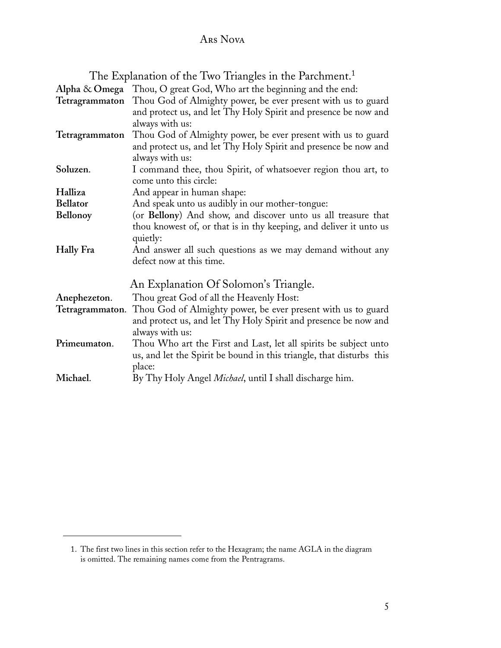## Ars Nova

The Explanation of the Two Triangles in the Parchment.<sup>1</sup>

| Alpha & Omega    | Thou, O great God, Who art the beginning and the end:                |
|------------------|----------------------------------------------------------------------|
| Tetragrammaton   | Thou God of Almighty power, be ever present with us to guard         |
|                  | and protect us, and let Thy Holy Spirit and presence be now and      |
|                  | always with us:                                                      |
| Tetragrammaton   | Thou God of Almighty power, be ever present with us to guard         |
|                  | and protect us, and let Thy Holy Spirit and presence be now and      |
|                  | always with us:                                                      |
| Soluzen.         | I command thee, thou Spirit, of whatsoever region thou art, to       |
|                  | come unto this circle:                                               |
| Halliza          | And appear in human shape:                                           |
| <b>Bellator</b>  | And speak unto us audibly in our mother-tongue:                      |
| Bellonoy         | (or Bellony) And show, and discover unto us all treasure that        |
|                  | thou knowest of, or that is in thy keeping, and deliver it unto us   |
|                  | quietly:                                                             |
| <b>Hally Fra</b> | And answer all such questions as we may demand without any           |
|                  | defect now at this time.                                             |
|                  | An Explanation Of Solomon's Triangle.                                |
| Anephezeton.     | Thou great God of all the Heavenly Host:                             |
| Tetragrammaton.  | Thou God of Almighty power, be ever present with us to guard         |
|                  | and protect us, and let Thy Holy Spirit and presence be now and      |
|                  | always with us:                                                      |
| Primeumaton.     | Thou Who art the First and Last, let all spirits be subject unto     |
|                  | us, and let the Spirit be bound in this triangle, that disturbs this |
|                  | place:                                                               |
| Michael.         | By Thy Holy Angel <i>Michael</i> , until I shall discharge him.      |

<sup>1.</sup> The first two lines in this section refer to the Hexagram; the name AGLA in the diagram is omitted. The remaining names come from the Pentragrams.